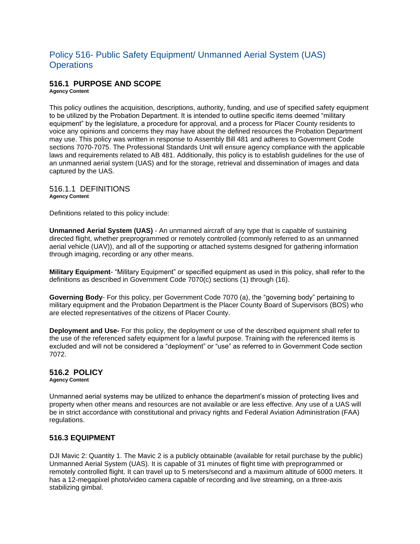# Policy 516- Public Safety Equipment/ Unmanned Aerial System (UAS) **Operations**

# **516.1 PURPOSE AND SCOPE**

**Agency Content**

This policy outlines the acquisition, descriptions, authority, funding, and use of specified safety equipment to be utilized by the Probation Department. It is intended to outline specific items deemed "military equipment" by the legislature, a procedure for approval, and a process for Placer County residents to voice any opinions and concerns they may have about the defined resources the Probation Department may use. This policy was written in response to Assembly Bill 481 and adheres to Government Code sections 7070-7075. The Professional Standards Unit will ensure agency compliance with the applicable laws and requirements related to AB 481. Additionally, this policy is to establish guidelines for the use of an unmanned aerial system (UAS) and for the storage, retrieval and dissemination of images and data captured by the UAS.

516.1.1 DEFINITIONS **Agency Content**

Definitions related to this policy include:

**Unmanned Aerial System (UAS)** - An unmanned aircraft of any type that is capable of sustaining directed flight, whether preprogrammed or remotely controlled (commonly referred to as an unmanned aerial vehicle (UAV)), and all of the supporting or attached systems designed for gathering information through imaging, recording or any other means.

**Military Equipment**- "Military Equipment" or specified equipment as used in this policy, shall refer to the definitions as described in Government Code 7070(c) sections (1) through (16).

**Governing Body**- For this policy, per Government Code 7070 (a), the "governing body" pertaining to military equipment and the Probation Department is the Placer County Board of Supervisors (BOS) who are elected representatives of the citizens of Placer County.

**Deployment and Use-** For this policy, the deployment or use of the described equipment shall refer to the use of the referenced safety equipment for a lawful purpose. Training with the referenced items is excluded and will not be considered a "deployment" or "use" as referred to in Government Code section 7072.

### **516.2 POLICY**

**Agency Content**

Unmanned aerial systems may be utilized to enhance the department's mission of protecting lives and property when other means and resources are not available or are less effective. Any use of a UAS will be in strict accordance with constitutional and privacy rights and Federal Aviation Administration (FAA) regulations.

### **516.3 EQUIPMENT**

DJI Mavic 2: Quantity 1. The Mavic 2 is a publicly obtainable (available for retail purchase by the public) Unmanned Aerial System (UAS). It is capable of 31 minutes of flight time with preprogrammed or remotely controlled flight. It can travel up to 5 meters/second and a maximum altitude of 6000 meters. It has a 12-megapixel photo/video camera capable of recording and live streaming, on a three-axis stabilizing gimbal.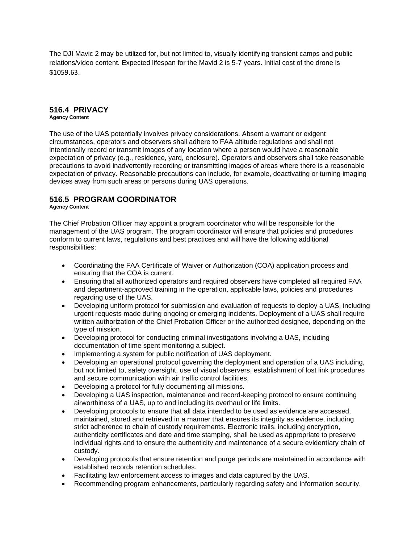The DJI Mavic 2 may be utilized for, but not limited to, visually identifying transient camps and public relations/video content. Expected lifespan for the Mavid 2 is 5-7 years. Initial cost of the drone is \$1059.63.

### **516.4 PRIVACY**

**Agency Content**

The use of the UAS potentially involves privacy considerations. Absent a warrant or exigent circumstances, operators and observers shall adhere to FAA altitude regulations and shall not intentionally record or transmit images of any location where a person would have a reasonable expectation of privacy (e.g., residence, yard, enclosure). Operators and observers shall take reasonable precautions to avoid inadvertently recording or transmitting images of areas where there is a reasonable expectation of privacy. Reasonable precautions can include, for example, deactivating or turning imaging devices away from such areas or persons during UAS operations.

## **516.5 PROGRAM COORDINATOR**

#### **Agency Content**

The Chief Probation Officer may appoint a program coordinator who will be responsible for the management of the UAS program. The program coordinator will ensure that policies and procedures conform to current laws, regulations and best practices and will have the following additional responsibilities:

- Coordinating the FAA Certificate of Waiver or Authorization (COA) application process and ensuring that the COA is current.
- Ensuring that all authorized operators and required observers have completed all required FAA and department-approved training in the operation, applicable laws, policies and procedures regarding use of the UAS.
- Developing uniform protocol for submission and evaluation of requests to deploy a UAS, including urgent requests made during ongoing or emerging incidents. Deployment of a UAS shall require written authorization of the Chief Probation Officer or the authorized designee, depending on the type of mission.
- Developing protocol for conducting criminal investigations involving a UAS, including documentation of time spent monitoring a subject.
- Implementing a system for public notification of UAS deployment.
- Developing an operational protocol governing the deployment and operation of a UAS including, but not limited to, safety oversight, use of visual observers, establishment of lost link procedures and secure communication with air traffic control facilities.
- Developing a protocol for fully documenting all missions.
- Developing a UAS inspection, maintenance and record-keeping protocol to ensure continuing airworthiness of a UAS, up to and including its overhaul or life limits.
- Developing protocols to ensure that all data intended to be used as evidence are accessed, maintained, stored and retrieved in a manner that ensures its integrity as evidence, including strict adherence to chain of custody requirements. Electronic trails, including encryption, authenticity certificates and date and time stamping, shall be used as appropriate to preserve individual rights and to ensure the authenticity and maintenance of a secure evidentiary chain of custody.
- Developing protocols that ensure retention and purge periods are maintained in accordance with established records retention schedules.
- Facilitating law enforcement access to images and data captured by the UAS.
- Recommending program enhancements, particularly regarding safety and information security.